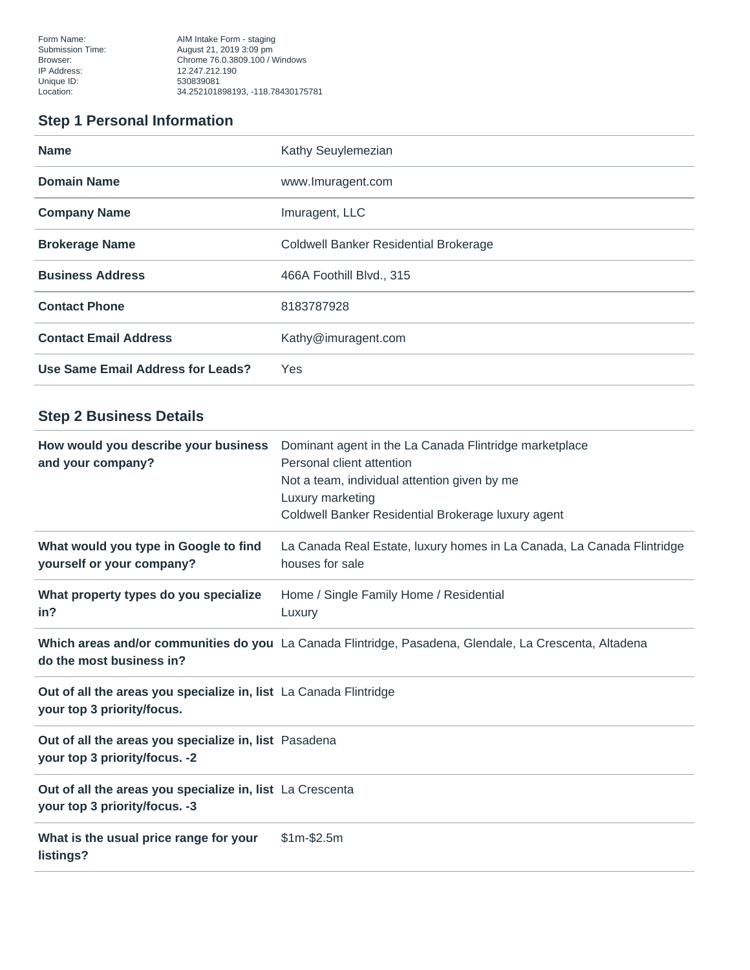Form Name: The South Corp. AIM Intake Form - staging Browser: Chrome 76.0.3809.100 / Windows Location: 34.252101898193, -118.78430175781

# **Step 1 Personal Information**

| <b>Name</b>                       | Kathy Seuylemezian                           |
|-----------------------------------|----------------------------------------------|
| <b>Domain Name</b>                | www.lmuragent.com                            |
| <b>Company Name</b>               | Imuragent, LLC                               |
| <b>Brokerage Name</b>             | <b>Coldwell Banker Residential Brokerage</b> |
| <b>Business Address</b>           | 466A Foothill Blvd., 315                     |
| <b>Contact Phone</b>              | 8183787928                                   |
| <b>Contact Email Address</b>      | Kathy@imuragent.com                          |
| Use Same Email Address for Leads? | Yes                                          |

# **Step 2 Business Details**

| How would you describe your business<br>and your company?                                       | Dominant agent in the La Canada Flintridge marketplace<br>Personal client attention<br>Not a team, individual attention given by me<br>Luxury marketing<br>Coldwell Banker Residential Brokerage luxury agent |
|-------------------------------------------------------------------------------------------------|---------------------------------------------------------------------------------------------------------------------------------------------------------------------------------------------------------------|
| What would you type in Google to find<br>yourself or your company?                              | La Canada Real Estate, luxury homes in La Canada, La Canada Flintridge<br>houses for sale                                                                                                                     |
| What property types do you specialize<br>in?                                                    | Home / Single Family Home / Residential<br>Luxury                                                                                                                                                             |
| do the most business in?                                                                        | Which areas and/or communities do you La Canada Flintridge, Pasadena, Glendale, La Crescenta, Altadena                                                                                                        |
| Out of all the areas you specialize in, list La Canada Flintridge<br>your top 3 priority/focus. |                                                                                                                                                                                                               |
| Out of all the areas you specialize in, list Pasadena<br>your top 3 priority/focus. -2          |                                                                                                                                                                                                               |
| Out of all the areas you specialize in, list La Crescenta<br>your top 3 priority/focus. -3      |                                                                                                                                                                                                               |
| What is the usual price range for your<br>listings?                                             | $$1m-$2.5m$                                                                                                                                                                                                   |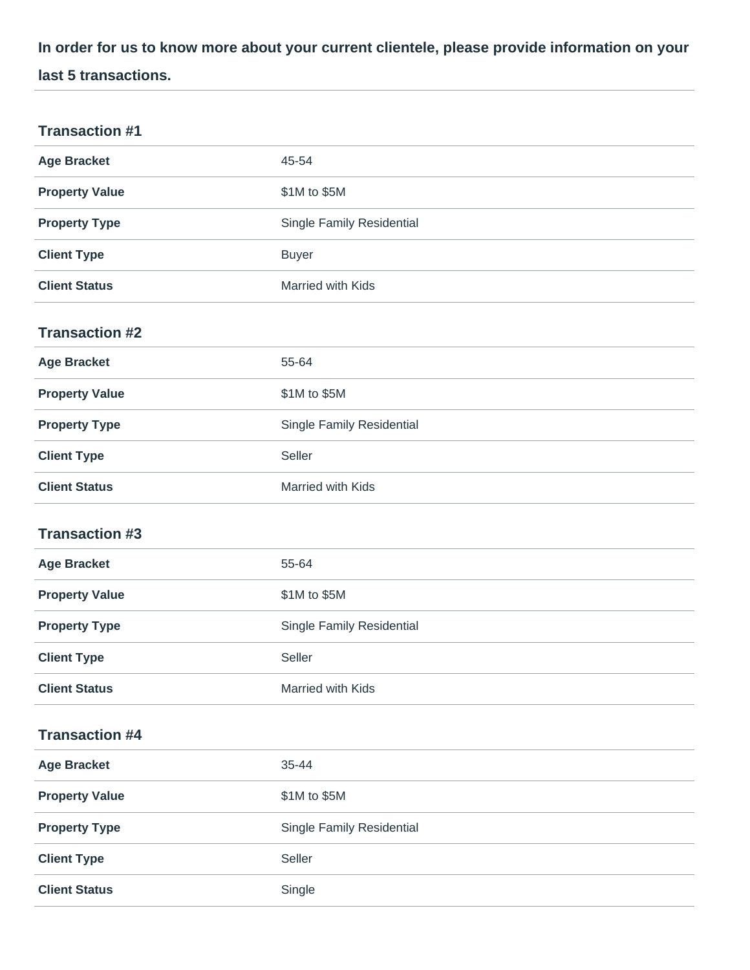**In order for us to know more about your current clientele, please provide information on your last 5 transactions.**

| <b>Transaction #1</b> |                                  |
|-----------------------|----------------------------------|
| <b>Age Bracket</b>    | 45-54                            |
| <b>Property Value</b> | \$1M to \$5M                     |
| <b>Property Type</b>  | <b>Single Family Residential</b> |
| <b>Client Type</b>    | <b>Buyer</b>                     |
| <b>Client Status</b>  | Married with Kids                |
| <b>Transaction #2</b> |                                  |
| <b>Age Bracket</b>    | 55-64                            |
| <b>Property Value</b> | \$1M to \$5M                     |
| <b>Property Type</b>  | Single Family Residential        |
| <b>Client Type</b>    | Seller                           |
| <b>Client Status</b>  | Married with Kids                |
| <b>Transaction #3</b> |                                  |
| <b>Age Bracket</b>    | 55-64                            |
| <b>Property Value</b> | \$1M to \$5M                     |
| <b>Property Type</b>  | Single Family Residential        |
| <b>Client Type</b>    | Seller                           |
| <b>Client Status</b>  | Married with Kids                |
| <b>Transaction #4</b> |                                  |
| <b>Age Bracket</b>    | 35-44                            |
| <b>Property Value</b> | \$1M to \$5M                     |
| <b>Property Type</b>  | Single Family Residential        |
| <b>Client Type</b>    | Seller                           |
| <b>Client Status</b>  | Single                           |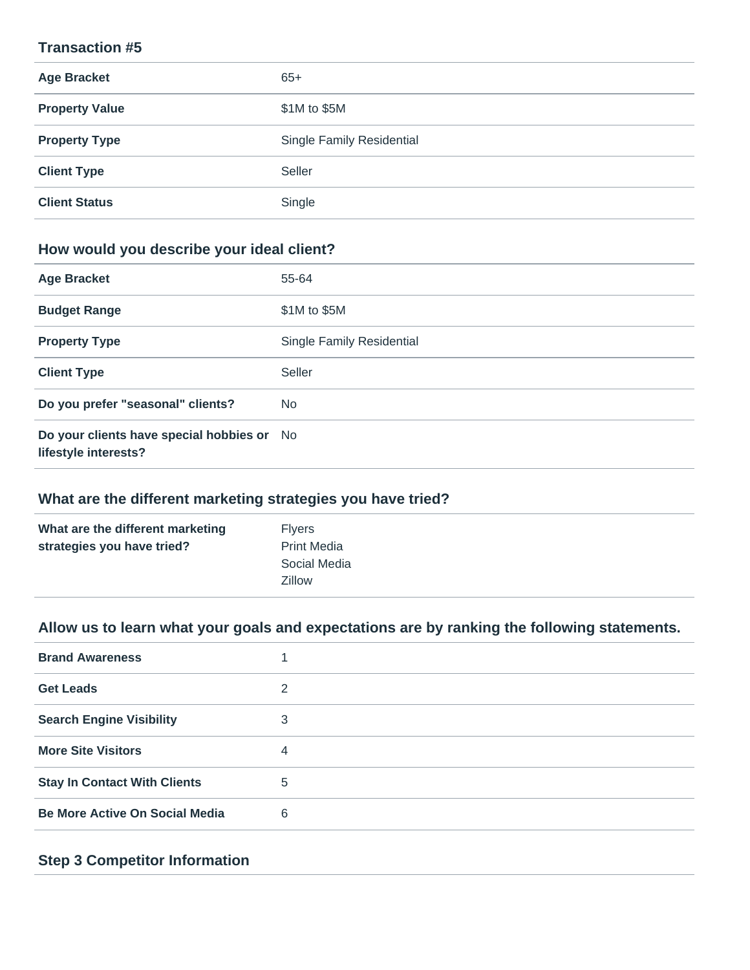#### **Transaction #5**

| <b>Age Bracket</b>    | $65+$                            |
|-----------------------|----------------------------------|
| <b>Property Value</b> | \$1M to \$5M                     |
| <b>Property Type</b>  | <b>Single Family Residential</b> |
| <b>Client Type</b>    | Seller                           |
| <b>Client Status</b>  | Single                           |

## **How would you describe your ideal client?**

| <b>Age Bracket</b>                                                 | 55-64                     |
|--------------------------------------------------------------------|---------------------------|
| <b>Budget Range</b>                                                | \$1M to \$5M              |
| <b>Property Type</b>                                               | Single Family Residential |
| <b>Client Type</b>                                                 | Seller                    |
| Do you prefer "seasonal" clients?                                  | N <sub>o</sub>            |
| Do your clients have special hobbies or No<br>lifestyle interests? |                           |

#### **What are the different marketing strategies you have tried?**

| What are the different marketing | <b>Flvers</b>      |
|----------------------------------|--------------------|
| strategies you have tried?       | <b>Print Media</b> |
|                                  | Social Media       |
|                                  | <b>Zillow</b>      |
|                                  |                    |

# **Allow us to learn what your goals and expectations are by ranking the following statements.**

| <b>Brand Awareness</b>                |   |
|---------------------------------------|---|
| <b>Get Leads</b>                      | 2 |
| <b>Search Engine Visibility</b>       | 3 |
| <b>More Site Visitors</b>             | 4 |
| <b>Stay In Contact With Clients</b>   | 5 |
| <b>Be More Active On Social Media</b> | 6 |

### **Step 3 Competitor Information**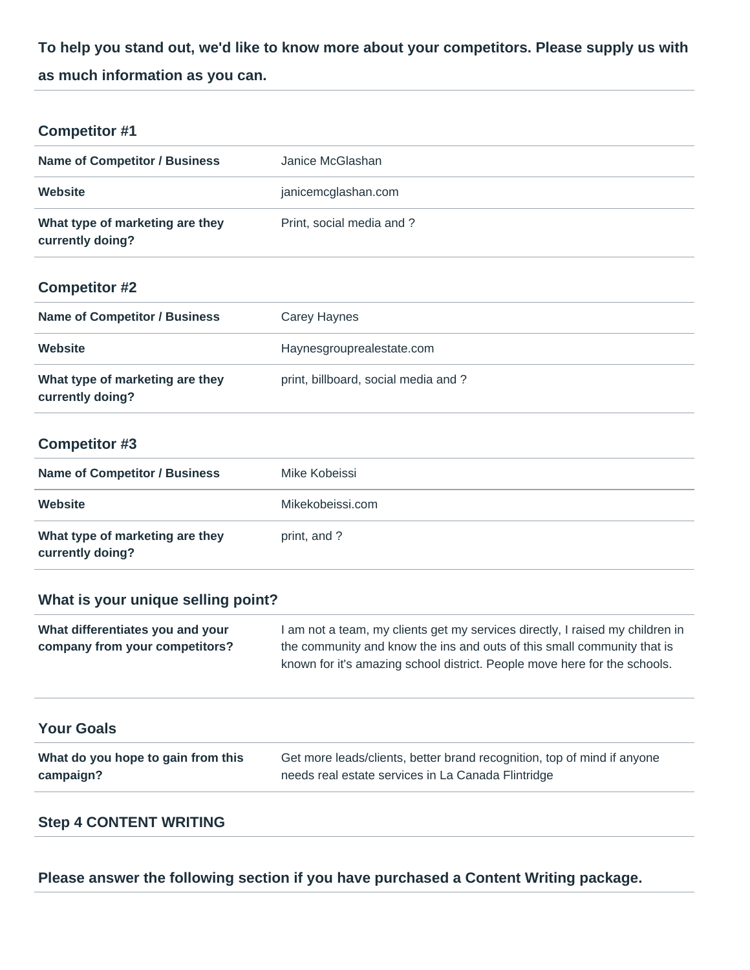**To help you stand out, we'd like to know more about your competitors. Please supply us with as much information as you can.**

### **Competitor #1**

| <b>Name of Competitor / Business</b>                | Janice McGlashan          |
|-----------------------------------------------------|---------------------------|
| Website                                             | janicemcglashan.com       |
| What type of marketing are they<br>currently doing? | Print, social media and ? |

### **Competitor #2**

| <b>Name of Competitor / Business</b>                | Carey Haynes                        |
|-----------------------------------------------------|-------------------------------------|
| Website                                             | Haynesgrouprealestate.com           |
| What type of marketing are they<br>currently doing? | print, billboard, social media and? |

### **Competitor #3**

| <b>Name of Competitor / Business</b>                | Mike Kobeissi    |
|-----------------------------------------------------|------------------|
| Website                                             | Mikekobeissi.com |
| What type of marketing are they<br>currently doing? | print, and ?     |

## **What is your unique selling point?**

| What differentiates you and your | I am not a team, my clients get my services directly, I raised my children in |
|----------------------------------|-------------------------------------------------------------------------------|
| company from your competitors?   | the community and know the ins and outs of this small community that is       |
|                                  | known for it's amazing school district. People move here for the schools.     |

| <b>Your Goals</b>                  |                                                                         |
|------------------------------------|-------------------------------------------------------------------------|
| What do you hope to gain from this | Get more leads/clients, better brand recognition, top of mind if anyone |
| campaign?                          | needs real estate services in La Canada Flintridge                      |

### **Step 4 CONTENT WRITING**

**Please answer the following section if you have purchased a Content Writing package.**